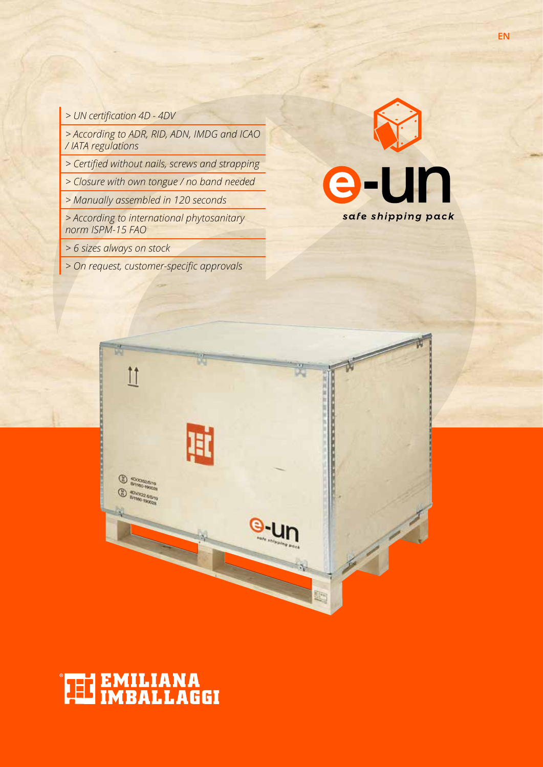*> UN certification 4D - 4DV*

*> According to ADR, RID, ADN, IMDG and ICAO / IATA regulations*

*> Certified without nails, screws and strapping*

*> Closure with own tongue / no band needed*

*> Manually assembled in 120 seconds*

*> According to international phytosanitary norm ISPM-15 FAO*

- *> 6 sizes always on stock*
- *> On request, customer-specific approvals*





# **THE EMILIANA**